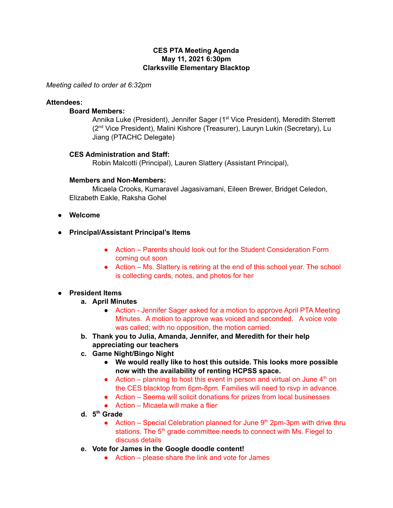### **CES PTA Meeting Agenda May 11, 2021 6:30pm Clarksville Elementary Blacktop**

*Meeting called to order at 6:32pm*

### **Attendees:**

#### **Board Members:**

Annika Luke (President), Jennifer Sager (1<sup>st</sup> Vice President), Meredith Sterrett (2<sup>nd</sup> Vice President), Malini Kishore (Treasurer), Lauryn Lukin (Secretary), Lu Jiang (PTACHC Delegate)

#### **CES Administration and Staff:**

Robin Malcotti (Principal), Lauren Slattery (Assistant Principal),

#### **Members and Non-Members:**

Micaela Crooks, Kumaravel Jagasivamani, Eileen Brewer, Bridget Celedon, Elizabeth Eakle, Raksha Gohel

- **● Welcome**
- **● Principal/Assistant Principal's Items**
	- Action Parents should look out for the Student Consideration Form coming out soon
	- Action Ms. Slattery is retiring at the end of this school year. The school is collecting cards, notes, and photos for her

### **● President Items**

- **a. April Minutes**
	- Action Jennifer Sager asked for a motion to approve April PTA Meeting Minutes. A motion to approve was voiced and seconded. A voice vote was called; with no opposition, the motion carried.
- **b. Thank you to Julia, Amanda, Jennifer, and Meredith for their help appreciating our teachers**
- **c. Game Night/Bingo Night**
	- **● We would really like to host this outside. This looks more possible now with the availability of renting HCPSS space.**
	- Action planning to host this event in person and virtual on June  $4<sup>th</sup>$  on the CES blacktop from 6pm-8pm. Families will need to rsvp in advance.
	- Action Seema will solicit donations for prizes from local businesses
	- $\bullet$  Action Micaela will make a flier
- **d. 5 th Grade**
	- Action Special Celebration planned for June  $9<sup>th</sup>$  2pm-3pm with drive thru stations. The 5<sup>th</sup> grade committee needs to connect with Ms. Fiegel to discuss details
- **e. Vote for James in the Google doodle content!**
	- Action please share the link and vote for James